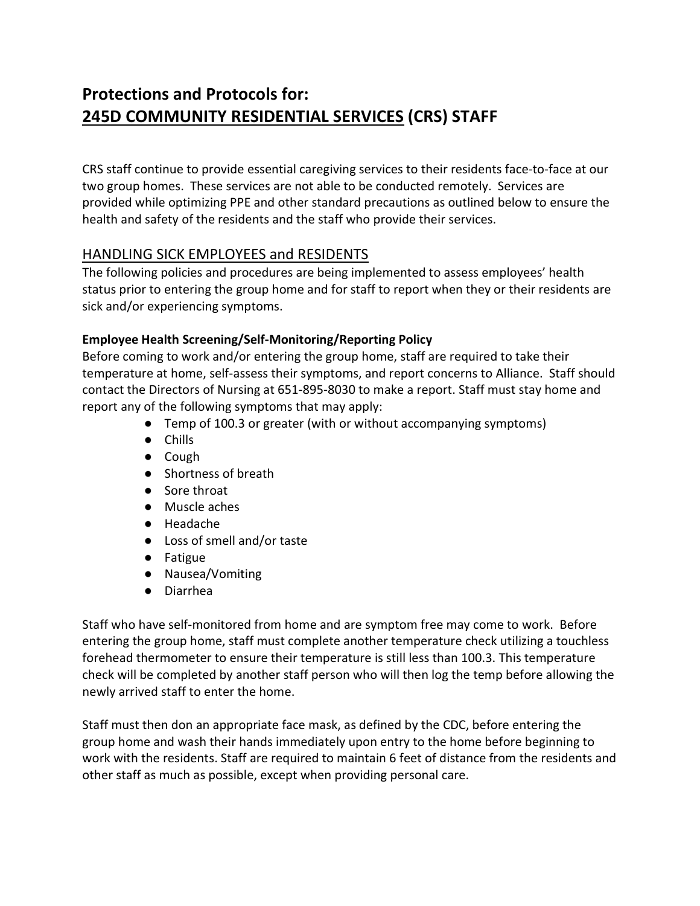# Protections and Protocols for: 245D COMMUNITY RESIDENTIAL SERVICES (CRS) STAFF

CRS staff continue to provide essential caregiving services to their residents face-to-face at our two group homes. These services are not able to be conducted remotely. Services are provided while optimizing PPE and other standard precautions as outlined below to ensure the health and safety of the residents and the staff who provide their services.

#### HANDLING SICK EMPLOYEES and RESIDENTS

The following policies and procedures are being implemented to assess employees' health status prior to entering the group home and for staff to report when they or their residents are sick and/or experiencing symptoms.

#### Employee Health Screening/Self-Monitoring/Reporting Policy

Before coming to work and/or entering the group home, staff are required to take their temperature at home, self-assess their symptoms, and report concerns to Alliance. Staff should contact the Directors of Nursing at 651-895-8030 to make a report. Staff must stay home and report any of the following symptoms that may apply:

- Temp of 100.3 or greater (with or without accompanying symptoms)
- Chills
- Cough
- Shortness of breath
- Sore throat
- Muscle aches
- Headache
- Loss of smell and/or taste
- Fatigue
- Nausea/Vomiting
- Diarrhea

Staff who have self-monitored from home and are symptom free may come to work. Before entering the group home, staff must complete another temperature check utilizing a touchless forehead thermometer to ensure their temperature is still less than 100.3. This temperature check will be completed by another staff person who will then log the temp before allowing the newly arrived staff to enter the home.

Staff must then don an appropriate face mask, as defined by the CDC, before entering the group home and wash their hands immediately upon entry to the home before beginning to work with the residents. Staff are required to maintain 6 feet of distance from the residents and other staff as much as possible, except when providing personal care.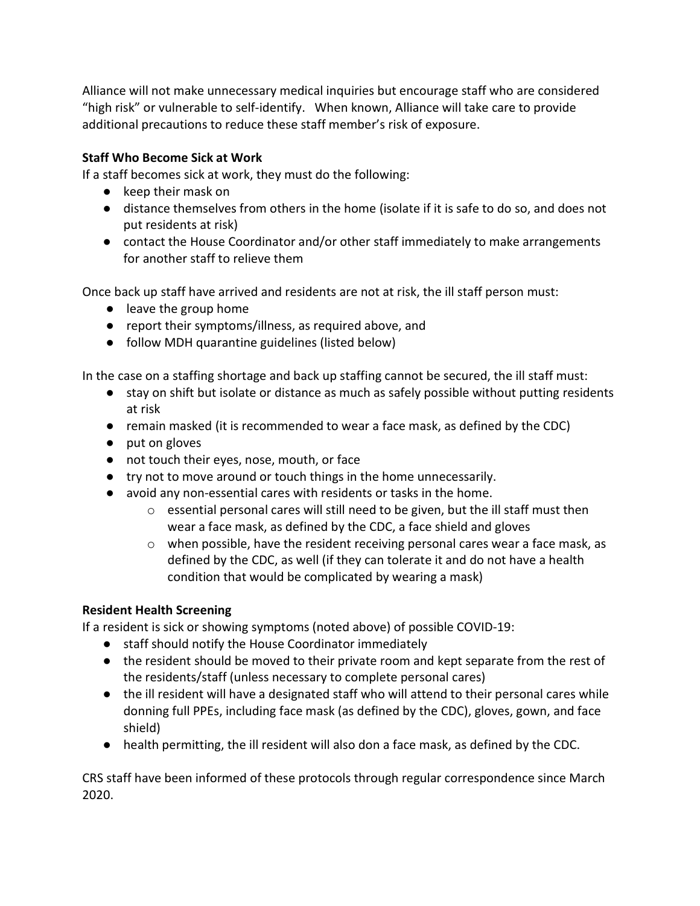Alliance will not make unnecessary medical inquiries but encourage staff who are considered "high risk" or vulnerable to self-identify. When known, Alliance will take care to provide additional precautions to reduce these staff member's risk of exposure.

#### Staff Who Become Sick at Work

If a staff becomes sick at work, they must do the following:

- keep their mask on
- distance themselves from others in the home (isolate if it is safe to do so, and does not put residents at risk)
- contact the House Coordinator and/or other staff immediately to make arrangements for another staff to relieve them

Once back up staff have arrived and residents are not at risk, the ill staff person must:

- leave the group home
- report their symptoms/illness, as required above, and
- follow MDH quarantine guidelines (listed below)

In the case on a staffing shortage and back up staffing cannot be secured, the ill staff must:

- stay on shift but isolate or distance as much as safely possible without putting residents at risk
- remain masked (it is recommended to wear a face mask, as defined by the CDC)
- put on gloves
- not touch their eyes, nose, mouth, or face
- try not to move around or touch things in the home unnecessarily.
- avoid any non-essential cares with residents or tasks in the home.
	- $\circ$  essential personal cares will still need to be given, but the ill staff must then wear a face mask, as defined by the CDC, a face shield and gloves
	- $\circ$  when possible, have the resident receiving personal cares wear a face mask, as defined by the CDC, as well (if they can tolerate it and do not have a health condition that would be complicated by wearing a mask)

#### Resident Health Screening

If a resident is sick or showing symptoms (noted above) of possible COVID-19:

- staff should notify the House Coordinator immediately
- the resident should be moved to their private room and kept separate from the rest of the residents/staff (unless necessary to complete personal cares)
- the ill resident will have a designated staff who will attend to their personal cares while donning full PPEs, including face mask (as defined by the CDC), gloves, gown, and face shield)
- health permitting, the ill resident will also don a face mask, as defined by the CDC.

CRS staff have been informed of these protocols through regular correspondence since March 2020.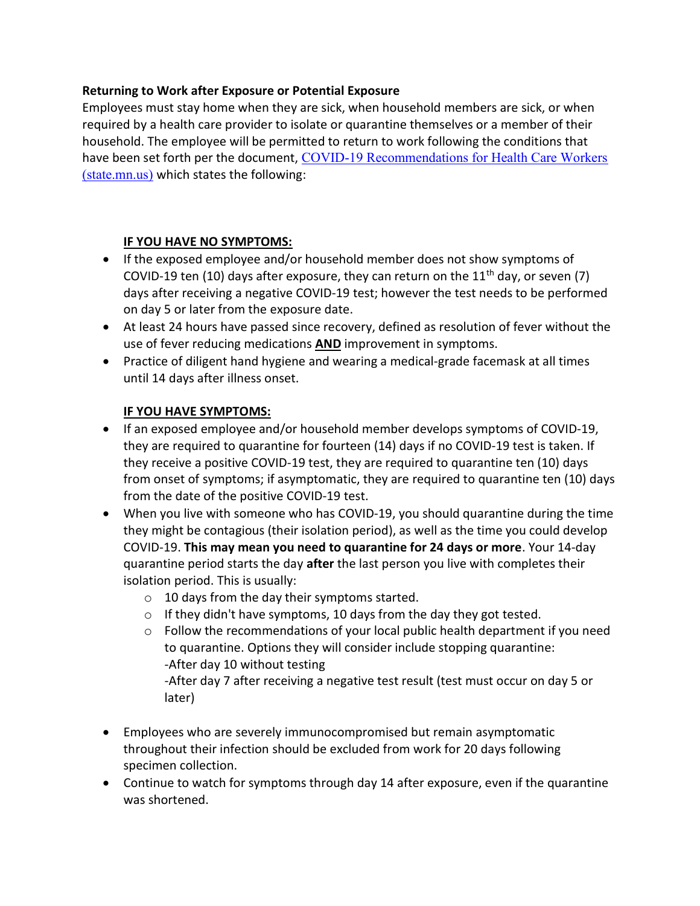#### Returning to Work after Exposure or Potential Exposure

Employees must stay home when they are sick, when household members are sick, or when required by a health care provider to isolate or quarantine themselves or a member of their household. The employee will be permitted to return to work following the conditions that have been set forth per the document, COVID-19 Recommendations for Health Care Workers (state.mn.us) which states the following:

#### IF YOU HAVE NO SYMPTOMS:

- If the exposed employee and/or household member does not show symptoms of COVID-19 ten (10) days after exposure, they can return on the 11<sup>th</sup> day, or seven (7) days after receiving a negative COVID-19 test; however the test needs to be performed on day 5 or later from the exposure date.
- At least 24 hours have passed since recovery, defined as resolution of fever without the use of fever reducing medications **AND** improvement in symptoms.
- Practice of diligent hand hygiene and wearing a medical-grade facemask at all times until 14 days after illness onset.

#### IF YOU HAVE SYMPTOMS:

- If an exposed employee and/or household member develops symptoms of COVID-19, they are required to quarantine for fourteen (14) days if no COVID-19 test is taken. If they receive a positive COVID-19 test, they are required to quarantine ten (10) days from onset of symptoms; if asymptomatic, they are required to quarantine ten (10) days from the date of the positive COVID-19 test.
- When you live with someone who has COVID-19, you should quarantine during the time they might be contagious (their isolation period), as well as the time you could develop COVID-19. This may mean you need to quarantine for 24 days or more. Your 14-day quarantine period starts the day after the last person you live with completes their isolation period. This is usually:
	- o 10 days from the day their symptoms started.
	- o If they didn't have symptoms, 10 days from the day they got tested.
	- $\circ$  Follow the recommendations of your local public health department if you need to quarantine. Options they will consider include stopping quarantine: -After day 10 without testing -After day 7 after receiving a negative test result (test must occur on day 5 or
		- later)
- Employees who are severely immunocompromised but remain asymptomatic throughout their infection should be excluded from work for 20 days following specimen collection.
- Continue to watch for symptoms through day 14 after exposure, even if the quarantine was shortened.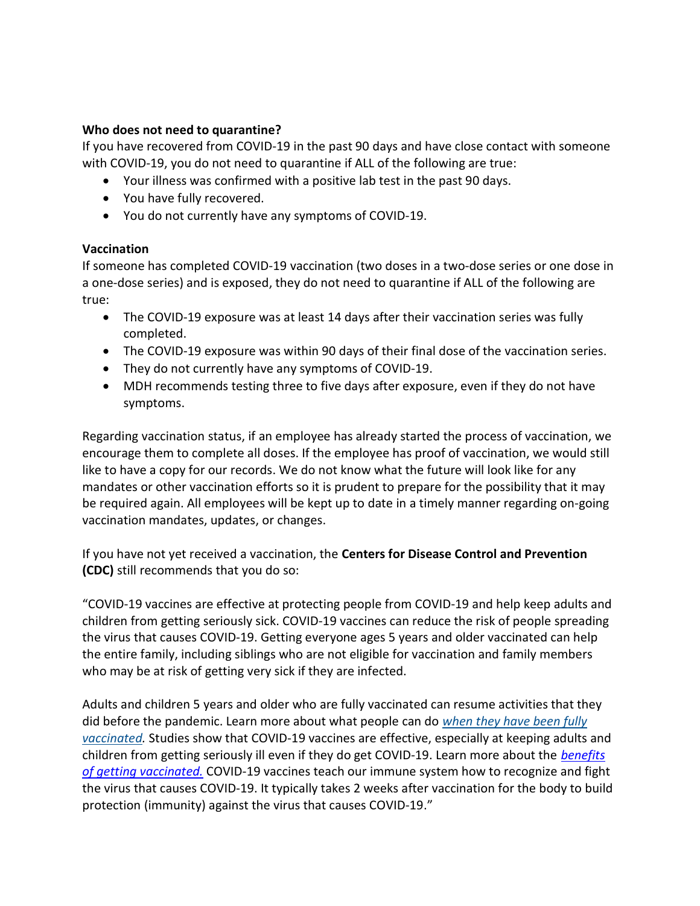#### Who does not need to quarantine?

If you have recovered from COVID-19 in the past 90 days and have close contact with someone with COVID-19, you do not need to quarantine if ALL of the following are true:

- Your illness was confirmed with a positive lab test in the past 90 days.
- You have fully recovered.
- You do not currently have any symptoms of COVID-19.

#### Vaccination

If someone has completed COVID-19 vaccination (two doses in a two-dose series or one dose in a one-dose series) and is exposed, they do not need to quarantine if ALL of the following are true:

- The COVID-19 exposure was at least 14 days after their vaccination series was fully completed.
- The COVID-19 exposure was within 90 days of their final dose of the vaccination series.
- They do not currently have any symptoms of COVID-19.
- MDH recommends testing three to five days after exposure, even if they do not have symptoms.

Regarding vaccination status, if an employee has already started the process of vaccination, we encourage them to complete all doses. If the employee has proof of vaccination, we would still like to have a copy for our records. We do not know what the future will look like for any mandates or other vaccination efforts so it is prudent to prepare for the possibility that it may be required again. All employees will be kept up to date in a timely manner regarding on-going vaccination mandates, updates, or changes.

If you have not yet received a vaccination, the Centers for Disease Control and Prevention (CDC) still recommends that you do so:

"COVID-19 vaccines are effective at protecting people from COVID-19 and help keep adults and children from getting seriously sick. COVID-19 vaccines can reduce the risk of people spreading the virus that causes COVID-19. Getting everyone ages 5 years and older vaccinated can help the entire family, including siblings who are not eligible for vaccination and family members who may be at risk of getting very sick if they are infected.

Adults and children 5 years and older who are fully vaccinated can resume activities that they did before the pandemic. Learn more about what people can do when they have been fully vaccinated. Studies show that COVID-19 vaccines are effective, especially at keeping adults and children from getting seriously ill even if they do get COVID-19. Learn more about the benefits of getting vaccinated. COVID-19 vaccines teach our immune system how to recognize and fight the virus that causes COVID-19. It typically takes 2 weeks after vaccination for the body to build protection (immunity) against the virus that causes COVID-19."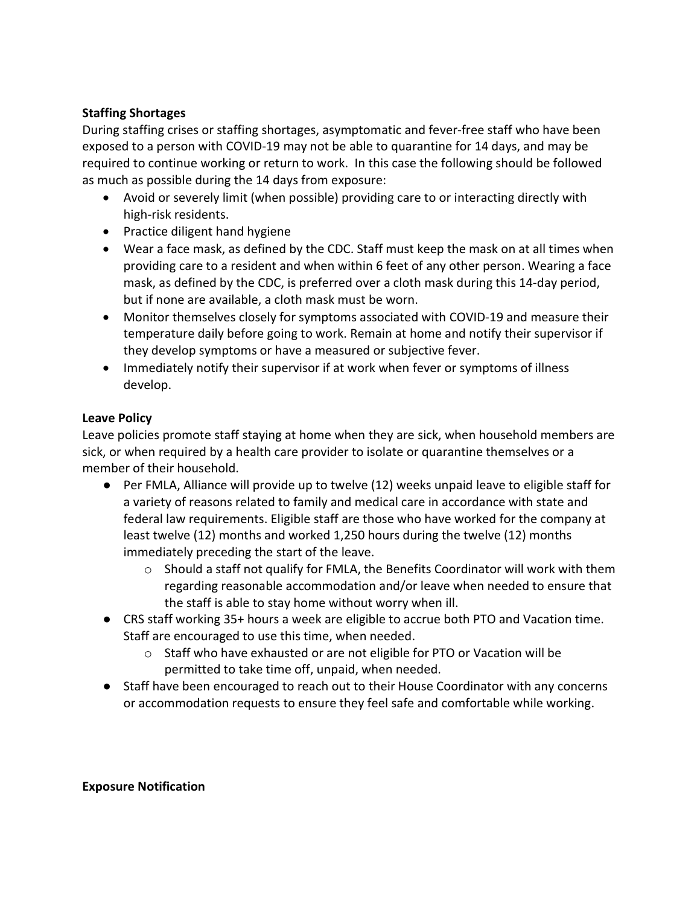#### Staffing Shortages

During staffing crises or staffing shortages, asymptomatic and fever-free staff who have been exposed to a person with COVID-19 may not be able to quarantine for 14 days, and may be required to continue working or return to work. In this case the following should be followed as much as possible during the 14 days from exposure:

- Avoid or severely limit (when possible) providing care to or interacting directly with high-risk residents.
- Practice diligent hand hygiene
- Wear a face mask, as defined by the CDC. Staff must keep the mask on at all times when providing care to a resident and when within 6 feet of any other person. Wearing a face mask, as defined by the CDC, is preferred over a cloth mask during this 14-day period, but if none are available, a cloth mask must be worn.
- Monitor themselves closely for symptoms associated with COVID-19 and measure their temperature daily before going to work. Remain at home and notify their supervisor if they develop symptoms or have a measured or subjective fever.
- Immediately notify their supervisor if at work when fever or symptoms of illness develop.

#### Leave Policy

Leave policies promote staff staying at home when they are sick, when household members are sick, or when required by a health care provider to isolate or quarantine themselves or a member of their household.

- Per FMLA, Alliance will provide up to twelve (12) weeks unpaid leave to eligible staff for a variety of reasons related to family and medical care in accordance with state and federal law requirements. Eligible staff are those who have worked for the company at least twelve (12) months and worked 1,250 hours during the twelve (12) months immediately preceding the start of the leave.
	- o Should a staff not qualify for FMLA, the Benefits Coordinator will work with them regarding reasonable accommodation and/or leave when needed to ensure that the staff is able to stay home without worry when ill.
- CRS staff working 35+ hours a week are eligible to accrue both PTO and Vacation time. Staff are encouraged to use this time, when needed.
	- o Staff who have exhausted or are not eligible for PTO or Vacation will be permitted to take time off, unpaid, when needed.
- Staff have been encouraged to reach out to their House Coordinator with any concerns or accommodation requests to ensure they feel safe and comfortable while working.

#### Exposure Notification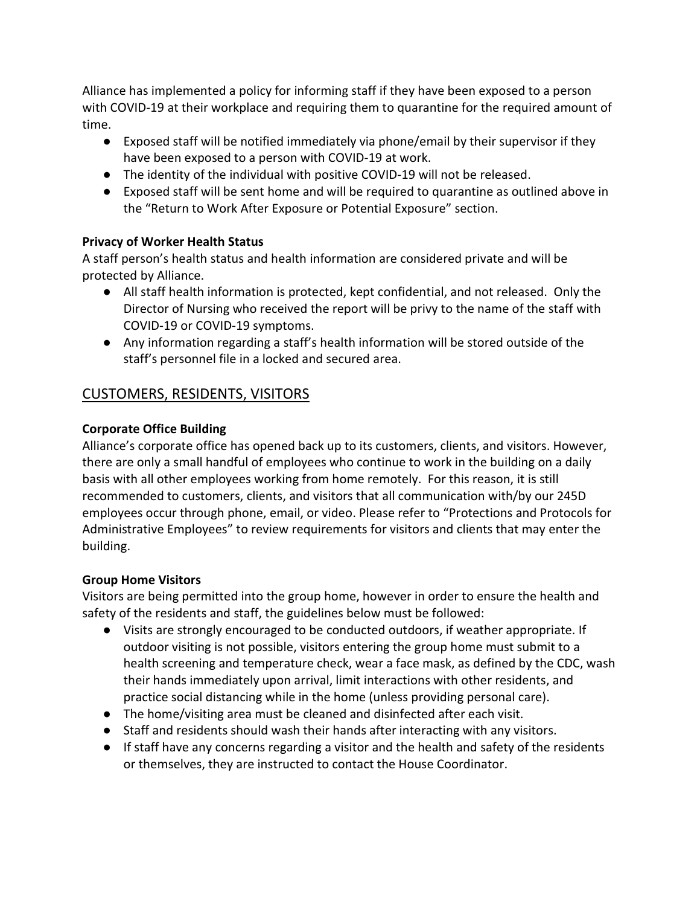Alliance has implemented a policy for informing staff if they have been exposed to a person with COVID-19 at their workplace and requiring them to quarantine for the required amount of time.

- Exposed staff will be notified immediately via phone/email by their supervisor if they have been exposed to a person with COVID-19 at work.
- The identity of the individual with positive COVID-19 will not be released.
- Exposed staff will be sent home and will be required to quarantine as outlined above in the "Return to Work After Exposure or Potential Exposure" section.

#### Privacy of Worker Health Status

A staff person's health status and health information are considered private and will be protected by Alliance.

- All staff health information is protected, kept confidential, and not released. Only the Director of Nursing who received the report will be privy to the name of the staff with COVID-19 or COVID-19 symptoms.
- Any information regarding a staff's health information will be stored outside of the staff's personnel file in a locked and secured area.

## CUSTOMERS, RESIDENTS, VISITORS

#### Corporate Office Building

Alliance's corporate office has opened back up to its customers, clients, and visitors. However, there are only a small handful of employees who continue to work in the building on a daily basis with all other employees working from home remotely. For this reason, it is still recommended to customers, clients, and visitors that all communication with/by our 245D employees occur through phone, email, or video. Please refer to "Protections and Protocols for Administrative Employees" to review requirements for visitors and clients that may enter the building.

#### Group Home Visitors

Visitors are being permitted into the group home, however in order to ensure the health and safety of the residents and staff, the guidelines below must be followed:

- Visits are strongly encouraged to be conducted outdoors, if weather appropriate. If outdoor visiting is not possible, visitors entering the group home must submit to a health screening and temperature check, wear a face mask, as defined by the CDC, wash their hands immediately upon arrival, limit interactions with other residents, and practice social distancing while in the home (unless providing personal care).
- The home/visiting area must be cleaned and disinfected after each visit.
- Staff and residents should wash their hands after interacting with any visitors.
- If staff have any concerns regarding a visitor and the health and safety of the residents or themselves, they are instructed to contact the House Coordinator.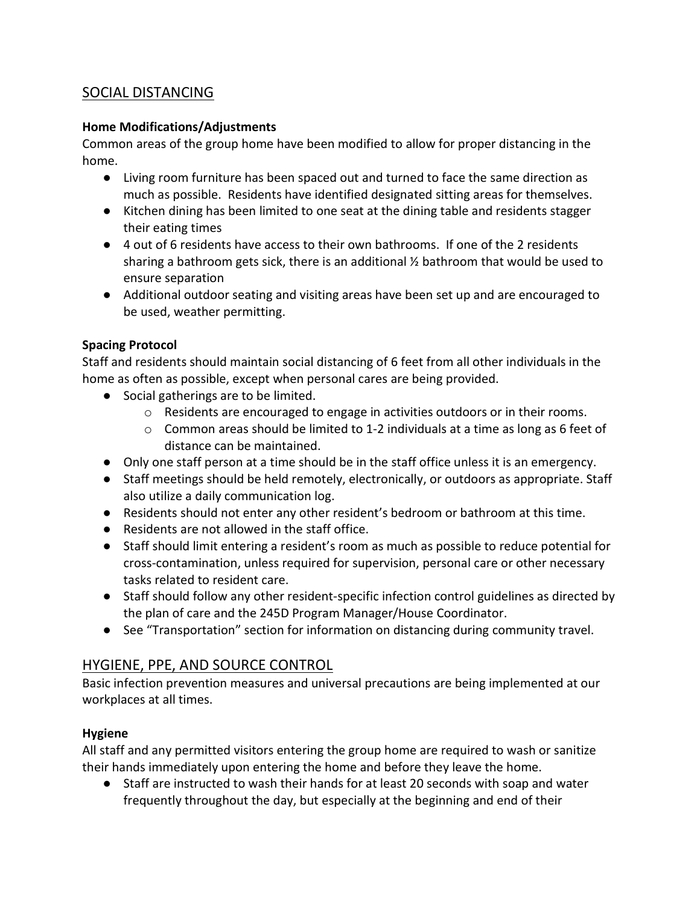## SOCIAL DISTANCING

#### Home Modifications/Adjustments

Common areas of the group home have been modified to allow for proper distancing in the home.

- Living room furniture has been spaced out and turned to face the same direction as much as possible. Residents have identified designated sitting areas for themselves.
- Kitchen dining has been limited to one seat at the dining table and residents stagger their eating times
- 4 out of 6 residents have access to their own bathrooms. If one of the 2 residents sharing a bathroom gets sick, there is an additional  $\frac{1}{2}$  bathroom that would be used to ensure separation
- Additional outdoor seating and visiting areas have been set up and are encouraged to be used, weather permitting.

#### Spacing Protocol

Staff and residents should maintain social distancing of 6 feet from all other individuals in the home as often as possible, except when personal cares are being provided.

- Social gatherings are to be limited.
	- $\circ$  Residents are encouraged to engage in activities outdoors or in their rooms.
	- $\circ$  Common areas should be limited to 1-2 individuals at a time as long as 6 feet of distance can be maintained.
- Only one staff person at a time should be in the staff office unless it is an emergency.
- Staff meetings should be held remotely, electronically, or outdoors as appropriate. Staff also utilize a daily communication log.
- Residents should not enter any other resident's bedroom or bathroom at this time.
- Residents are not allowed in the staff office.
- Staff should limit entering a resident's room as much as possible to reduce potential for cross-contamination, unless required for supervision, personal care or other necessary tasks related to resident care.
- Staff should follow any other resident-specific infection control guidelines as directed by the plan of care and the 245D Program Manager/House Coordinator.
- See "Transportation" section for information on distancing during community travel.

## HYGIENE, PPE, AND SOURCE CONTROL

Basic infection prevention measures and universal precautions are being implemented at our workplaces at all times.

#### Hygiene

All staff and any permitted visitors entering the group home are required to wash or sanitize their hands immediately upon entering the home and before they leave the home.

● Staff are instructed to wash their hands for at least 20 seconds with soap and water frequently throughout the day, but especially at the beginning and end of their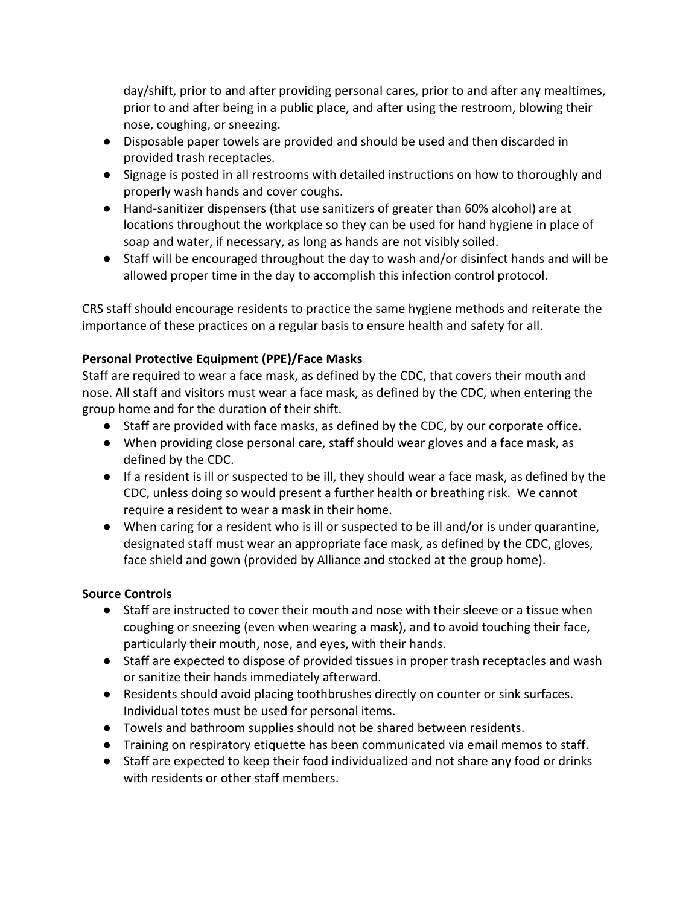day/shift, prior to and after providing personal cares, prior to and after any mealtimes, prior to and after being in a public place, and after using the restroom, blowing their nose, coughing, or sneezing.

- Disposable paper towels are provided and should be used and then discarded in provided trash receptacles.
- Signage is posted in all restrooms with detailed instructions on how to thoroughly and properly wash hands and cover coughs.
- Hand-sanitizer dispensers (that use sanitizers of greater than 60% alcohol) are at locations throughout the workplace so they can be used for hand hygiene in place of soap and water, if necessary, as long as hands are not visibly soiled.
- Staff will be encouraged throughout the day to wash and/or disinfect hands and will be allowed proper time in the day to accomplish this infection control protocol.

CRS staff should encourage residents to practice the same hygiene methods and reiterate the importance of these practices on a regular basis to ensure health and safety for all.

#### Personal Protective Equipment (PPE)/Face Masks

Staff are required to wear a face mask, as defined by the CDC, that covers their mouth and nose. All staff and visitors must wear a face mask, as defined by the CDC, when entering the group home and for the duration of their shift.

- Staff are provided with face masks, as defined by the CDC, by our corporate office.
- When providing close personal care, staff should wear gloves and a face mask, as defined by the CDC.
- If a resident is ill or suspected to be ill, they should wear a face mask, as defined by the CDC, unless doing so would present a further health or breathing risk. We cannot require a resident to wear a mask in their home.
- When caring for a resident who is ill or suspected to be ill and/or is under quarantine, designated staff must wear an appropriate face mask, as defined by the CDC, gloves, face shield and gown (provided by Alliance and stocked at the group home).

#### Source Controls

- Staff are instructed to cover their mouth and nose with their sleeve or a tissue when coughing or sneezing (even when wearing a mask), and to avoid touching their face, particularly their mouth, nose, and eyes, with their hands.
- Staff are expected to dispose of provided tissues in proper trash receptacles and wash or sanitize their hands immediately afterward.
- Residents should avoid placing toothbrushes directly on counter or sink surfaces. Individual totes must be used for personal items.
- Towels and bathroom supplies should not be shared between residents.
- Training on respiratory etiquette has been communicated via email memos to staff.
- Staff are expected to keep their food individualized and not share any food or drinks with residents or other staff members.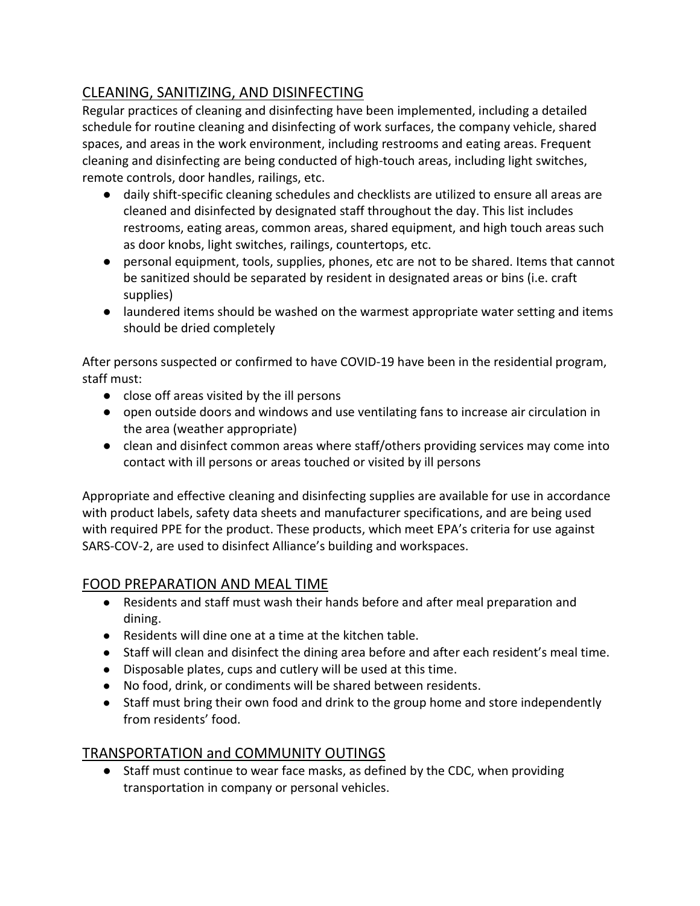## CLEANING, SANITIZING, AND DISINFECTING

Regular practices of cleaning and disinfecting have been implemented, including a detailed schedule for routine cleaning and disinfecting of work surfaces, the company vehicle, shared spaces, and areas in the work environment, including restrooms and eating areas. Frequent cleaning and disinfecting are being conducted of high-touch areas, including light switches, remote controls, door handles, railings, etc.

- daily shift-specific cleaning schedules and checklists are utilized to ensure all areas are cleaned and disinfected by designated staff throughout the day. This list includes restrooms, eating areas, common areas, shared equipment, and high touch areas such as door knobs, light switches, railings, countertops, etc.
- personal equipment, tools, supplies, phones, etc are not to be shared. Items that cannot be sanitized should be separated by resident in designated areas or bins (i.e. craft supplies)
- laundered items should be washed on the warmest appropriate water setting and items should be dried completely

After persons suspected or confirmed to have COVID-19 have been in the residential program, staff must:

- close off areas visited by the ill persons
- open outside doors and windows and use ventilating fans to increase air circulation in the area (weather appropriate)
- clean and disinfect common areas where staff/others providing services may come into contact with ill persons or areas touched or visited by ill persons

Appropriate and effective cleaning and disinfecting supplies are available for use in accordance with product labels, safety data sheets and manufacturer specifications, and are being used with required PPE for the product. These products, which meet EPA's criteria for use against SARS-COV-2, are used to disinfect Alliance's building and workspaces.

#### FOOD PREPARATION AND MEAL TIME

- Residents and staff must wash their hands before and after meal preparation and dining.
- Residents will dine one at a time at the kitchen table.
- Staff will clean and disinfect the dining area before and after each resident's meal time.
- Disposable plates, cups and cutlery will be used at this time.
- No food, drink, or condiments will be shared between residents.
- Staff must bring their own food and drink to the group home and store independently from residents' food.

## TRANSPORTATION and COMMUNITY OUTINGS

● Staff must continue to wear face masks, as defined by the CDC, when providing transportation in company or personal vehicles.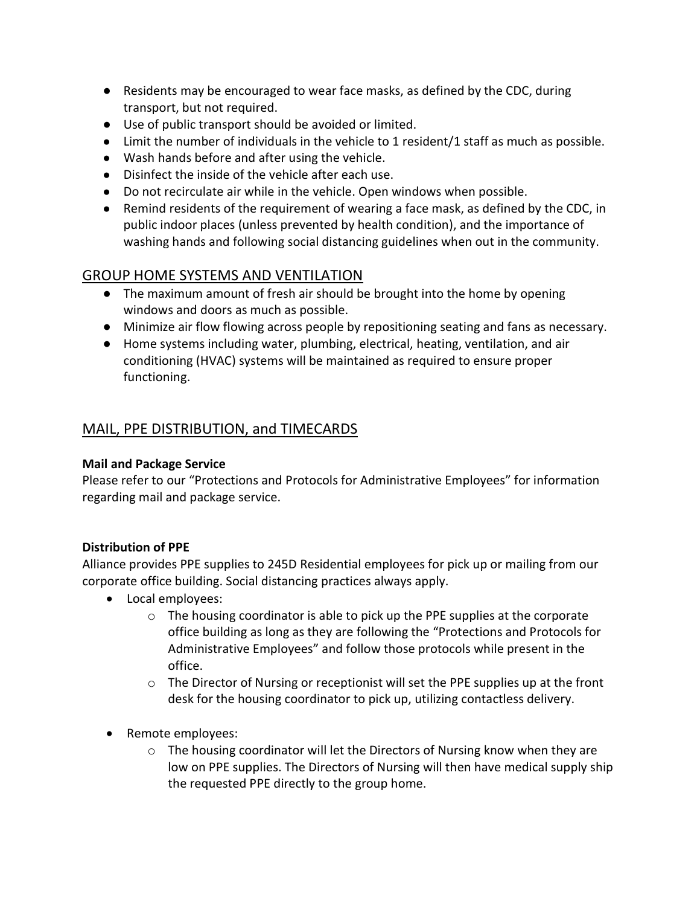- Residents may be encouraged to wear face masks, as defined by the CDC, during transport, but not required.
- Use of public transport should be avoided or limited.
- Limit the number of individuals in the vehicle to 1 resident/1 staff as much as possible.
- Wash hands before and after using the vehicle.
- Disinfect the inside of the vehicle after each use.
- Do not recirculate air while in the vehicle. Open windows when possible.
- Remind residents of the requirement of wearing a face mask, as defined by the CDC, in public indoor places (unless prevented by health condition), and the importance of washing hands and following social distancing guidelines when out in the community.

## GROUP HOME SYSTEMS AND VENTILATION

- The maximum amount of fresh air should be brought into the home by opening windows and doors as much as possible.
- Minimize air flow flowing across people by repositioning seating and fans as necessary.
- Home systems including water, plumbing, electrical, heating, ventilation, and air conditioning (HVAC) systems will be maintained as required to ensure proper functioning.

## MAIL, PPE DISTRIBUTION, and TIMECARDS

#### Mail and Package Service

Please refer to our "Protections and Protocols for Administrative Employees" for information regarding mail and package service.

#### Distribution of PPE

Alliance provides PPE supplies to 245D Residential employees for pick up or mailing from our corporate office building. Social distancing practices always apply.

- Local employees:
	- $\circ$  The housing coordinator is able to pick up the PPE supplies at the corporate office building as long as they are following the "Protections and Protocols for Administrative Employees" and follow those protocols while present in the office.
	- $\circ$  The Director of Nursing or receptionist will set the PPE supplies up at the front desk for the housing coordinator to pick up, utilizing contactless delivery.
- Remote employees:
	- $\circ$  The housing coordinator will let the Directors of Nursing know when they are low on PPE supplies. The Directors of Nursing will then have medical supply ship the requested PPE directly to the group home.